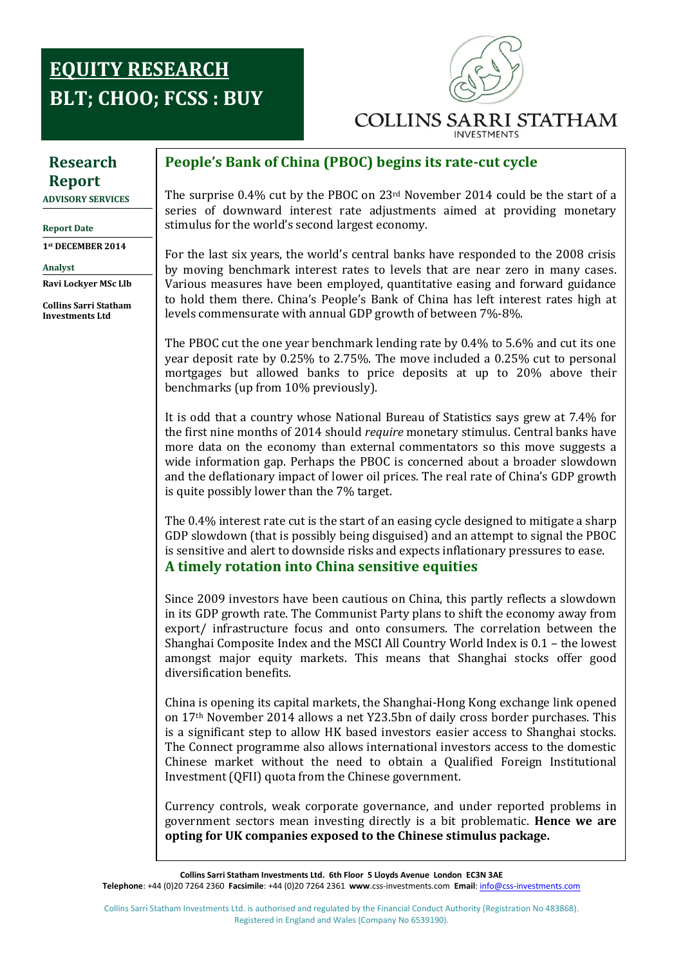# **Research EQUITY RESEARCH Report: BLT; CHOO; FCSS : BUY**



# **Research Report**

**ADVISORY SERVICES**

**Report Date**

**1st DECEMBER 2014**

**Analyst** 

**Ravi Lockyer MSc Llb**

**Collins Sarri Statham Investments Ltd**

### **People's Bank of China (PBOC) begins its rate-cut cycle**

The surprise 0.4% cut by the PBOC on 23rd November 2014 could be the start of a series of downward interest rate adjustments aimed at providing monetary stimulus for the world's second largest economy.

For the last six years, the world's central banks have responded to the 2008 crisis by moving benchmark interest rates to levels that are near zero in many cases. Various measures have been employed, quantitative easing and forward guidance to hold them there. China's People's Bank of China has left interest rates high at levels commensurate with annual GDP growth of between 7%-8%.

The PBOC cut the one year benchmark lending rate by 0.4% to 5.6% and cut its one year deposit rate by 0.25% to 2.75%. The move included a 0.25% cut to personal mortgages but allowed banks to price deposits at up to 20% above their benchmarks (up from 10% previously).

**Research**  It is odd that a country whose National Bureau of Statistics says grew at 7.4% for the first nine months of 2014 should *require* monetary stimulus. Central banks have more data on the economy than external commentators so this move suggests a wide information gap. Perhaps the PBOC is concerned about a broader slowdown and the deflationary impact of lower oil prices. The real rate of China's GDP growth is quite possibly lower than the 7% target.

The 0.4% interest rate cut is the start of an easing cycle designed to mitigate a sharp GDP slowdown (that is possibly being disguised) and an attempt to signal the PBOC is sensitive and alert to downside risks and expects inflationary pressures to ease. **A timely rotation into China sensitive equities** 

Since 2009 investors have been cautious on China, this partly reflects a slowdown in its GDP growth rate. The Communist Party plans to shift the economy away from export/ infrastructure focus and onto consumers. The correlation between the Shanghai Composite Index and the MSCI All Country World Index is 0.1 – the lowest amongst major equity markets. This means that Shanghai stocks offer good diversification benefits.

China is opening its capital markets, the Shanghai-Hong Kong exchange link opened on 17th November 2014 allows a net Y23.5bn of daily cross border purchases. This is a significant step to allow HK based investors easier access to Shanghai stocks. The Connect programme also allows international investors access to the domestic Chinese market without the need to obtain a Qualified Foreign Institutional Investment (QFII) quota from the Chinese government.

Currency controls, weak corporate governance, and under reported problems in government sectors mean investing directly is a bit problematic. **Hence we are opting for UK companies exposed to the Chinese stimulus package.**

**Collins Sarri Statham Investments Ltd. 6th Floor 5 Lloyds Avenue London EC3N 3AE Telephone**: +44 (0)20 7264 2360 **Facsimile**: +44 (0)20 7264 2361 **www**.css-investments.com **Email**[: info@css-investments.com](mailto:info@css-investments.com)

Collins Sarri Statham Investments Ltd. is authorised and regulated by the Financial Conduct Authority (Registration No 483868). Registered in England and Wales (Company No 6539190).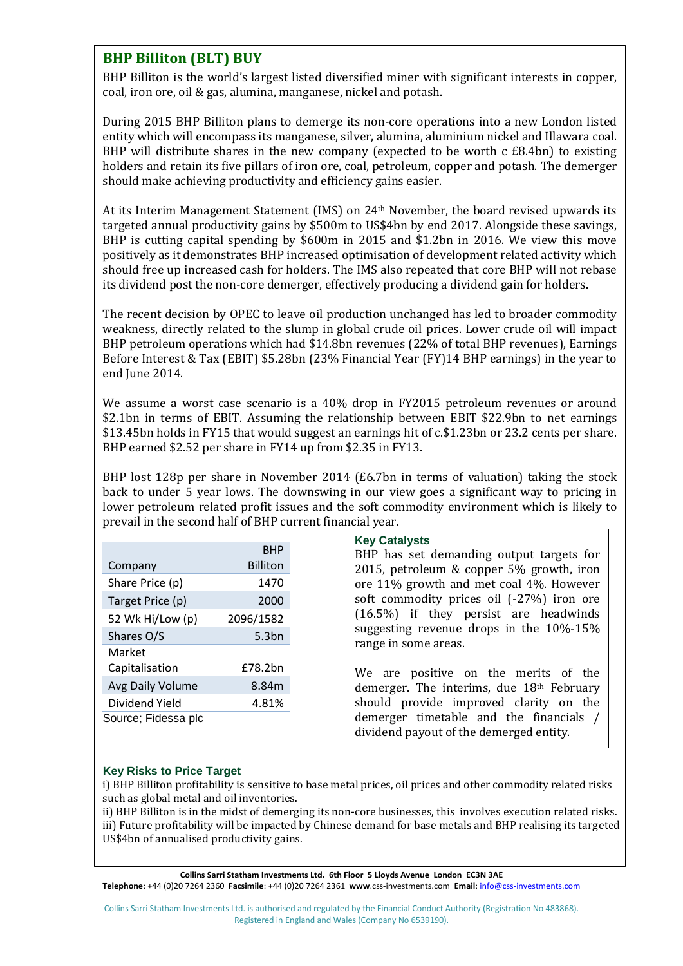### **BHP Billiton (BLT) BUY**

BHP Billiton is the world's largest listed diversified miner with significant interests in copper, coal, iron ore, oil & gas, alumina, manganese, nickel and potash.

During 2015 BHP Billiton plans to demerge its non-core operations into a new London listed entity which will encompass its manganese, silver, alumina, aluminium nickel and Illawara coal. BHP will distribute shares in the new company (expected to be worth  $cE8.4b$ n) to existing holders and retain its five pillars of iron ore, coal, petroleum, copper and potash. The demerger should make achieving productivity and efficiency gains easier.

At its Interim Management Statement (IMS) on 24th November, the board revised upwards its targeted annual productivity gains by \$500m to US\$4bn by end 2017. Alongside these savings, BHP is cutting capital spending by \$600m in 2015 and \$1.2bn in 2016. We view this move positively as it demonstrates BHP increased optimisation of development related activity which should free up increased cash for holders. The IMS also repeated that core BHP will not rebase its dividend post the non-core demerger, effectively producing a dividend gain for holders.

The recent decision by OPEC to leave oil production unchanged has led to broader commodity weakness, directly related to the slump in global crude oil prices. Lower crude oil will impact BHP petroleum operations which had \$14.8bn revenues (22% of total BHP revenues), Earnings Before Interest & Tax (EBIT) \$5.28bn (23% Financial Year (FY)14 BHP earnings) in the year to end June 2014.

We assume a worst case scenario is a 40% drop in FY2015 petroleum revenues or around \$2.1bn in terms of EBIT. Assuming the relationship between EBIT \$22.9bn to net earnings \$13.45bn holds in FY15 that would suggest an earnings hit of c.\$1.23bn or 23.2 cents per share. BHP earned \$2.52 per share in FY14 up from \$2.35 in FY13.

BHP lost 128p per share in November 2014 (£6.7bn in terms of valuation) taking the stock back to under 5 year lows. The downswing in our view goes a significant way to pricing in lower petroleum related profit issues and the soft commodity environment which is likely to prevail in the second half of BHP current financial year.

|                     | <b>BHP</b>      |
|---------------------|-----------------|
| Company             | <b>Billiton</b> |
| Share Price (p)     | 1470            |
| Target Price (p)    | 2000            |
| 52 Wk Hi/Low (p)    | 2096/1582       |
| Shares O/S          | 5.3bn           |
| Market              |                 |
| Capitalisation      | <b>f78.2bn</b>  |
| Avg Daily Volume    | 8.84m           |
| Dividend Yield      | 4.81%           |
| Source; Fidessa plc |                 |
|                     |                 |

#### **Key Catalysts**

BHP has set demanding output targets for 2015, petroleum & copper 5% growth, iron ore 11% growth and met coal 4%. However soft commodity prices oil (-27%) iron ore (16.5%) if they persist are headwinds suggesting revenue drops in the 10%-15% range in some areas.

We are positive on the merits of the demerger. The interims, due 18th February should provide improved clarity on the demerger timetable and the financials / dividend payout of the demerged entity.

### **Key Risks to Price Target**

i) BHP Billiton profitability is sensitive to base metal prices, oil prices and other commodity related risks such as global metal and oil inventories.

ii) BHP Billiton is in the midst of demerging its non-core businesses, this involves execution related risks. iii) Future profitability will be impacted by Chinese demand for base metals and BHP realising its targeted US\$4bn of annualised productivity gains.

**Collins Sarri Statham Investments Ltd. 6th Floor 5 Lloyds Avenue London EC3N 3AE Telephone**: +44 (0)20 7264 2360 **Facsimile**: +44 (0)20 7264 2361 **www**.css-investments.com **Email**[: info@css-investments.com](mailto:info@css-investments.com)

Collins Sarri Statham Investments Ltd. is authorised and regulated by the Financial Conduct Authority (Registration No 483868). Registered in England and Wales (Company No 6539190).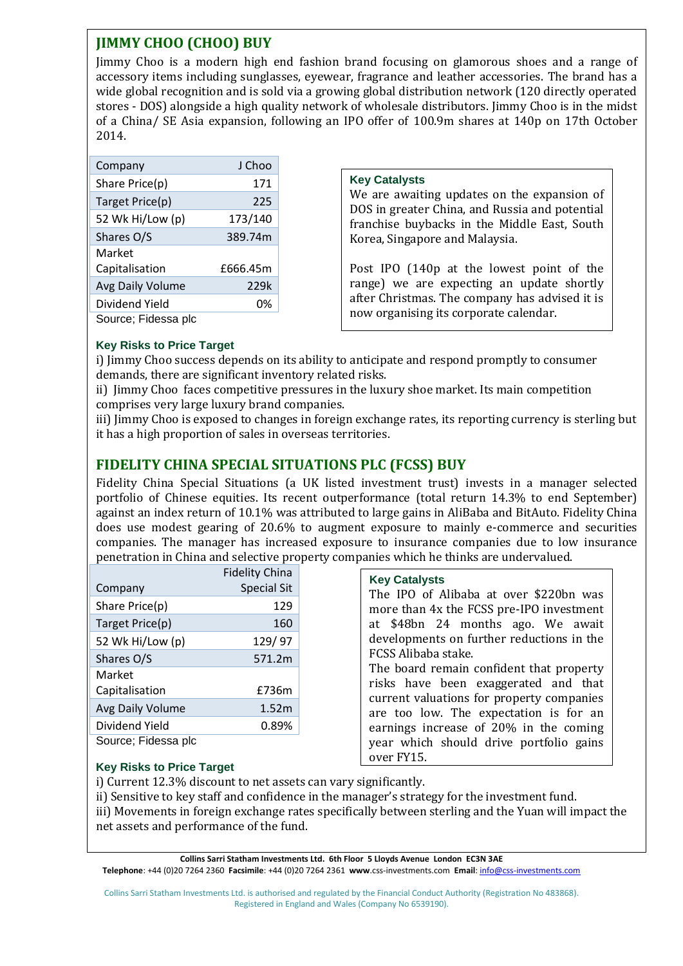## **JIMMY CHOO (CHOO) BUY**

Jimmy Choo is a modern high end fashion brand focusing on glamorous shoes and a range of accessory items including sunglasses, eyewear, fragrance and leather accessories. The brand has a wide global recognition and is sold via a growing global distribution network (120 directly operated stores - DOS) alongside a high quality network of wholesale distributors. Jimmy Choo is in the midst of a China/ SE Asia expansion, following an IPO offer of 100.9m shares at 140p on 17th October 2014.

| Company             | J Choo   |
|---------------------|----------|
| Share Price(p)      | 171      |
| Target Price(p)     | 225      |
| 52 Wk Hi/Low (p)    | 173/140  |
| Shares O/S          | 389.74m  |
| Market              |          |
| Capitalisation      | £666.45m |
| Avg Daily Volume    | 229k     |
| Dividend Yield      | 0%       |
| Source; Fidessa plc |          |

### **Key Catalysts**

We are awaiting updates on the expansion of DOS in greater China, and Russia and potential franchise buybacks in the Middle East, South Korea, Singapore and Malaysia.

Post IPO (140p at the lowest point of the range) we are expecting an update shortly after Christmas. The company has advised it is now organising its corporate calendar.

### **Key Risks to Price Target**

i) Jimmy Choo success depends on its ability to anticipate and respond promptly to consumer demands, there are significant inventory related risks.

ii) Jimmy Choo faces competitive pressures in the luxury shoe market. Its main competition comprises very large luxury brand companies.

iii) Jimmy Choo is exposed to changes in foreign exchange rates, its reporting currency is sterling but it has a high proportion of sales in overseas territories.

### **FIDELITY CHINA SPECIAL SITUATIONS PLC (FCSS) BUY**

Fidelity China Special Situations (a UK listed investment trust) invests in a manager selected portfolio of Chinese equities. Its recent outperformance (total return 14.3% to end September) against an index return of 10.1% was attributed to large gains in AliBaba and BitAuto. Fidelity China does use modest gearing of 20.6% to augment exposure to mainly e-commerce and securities companies. The manager has increased exposure to insurance companies due to low insurance penetration in China and selective property companies which he thinks are undervalued.

|                     | <b>Fidelity China</b> |
|---------------------|-----------------------|
| Company             | <b>Special Sit</b>    |
| Share Price(p)      | 129                   |
| Target Price(p)     | 160                   |
| 52 Wk Hi/Low (p)    | 129/97                |
| Shares O/S          | 571.2m                |
| Market              |                       |
| Capitalisation      | £736m                 |
| Avg Daily Volume    | 1.52m                 |
| Dividend Yield      | 0.89%                 |
| Source; Fidessa plc |                       |

### **Key Catalysts**

The IPO of Alibaba at over \$220bn was more than 4x the FCSS pre-IPO investment at \$48bn 24 months ago. We await developments on further reductions in the FCSS Alibaba stake.

The board remain confident that property risks have been exaggerated and that current valuations for property companies are too low. The expectation is for an earnings increase of 20% in the coming year which should drive portfolio gains over FY15.

### **Key Risks to Price Target**

i) Current 12.3% discount to net assets can vary significantly.

ii) Sensitive to key staff and confidence in the manager's strategy for the investment fund.

iii) Movements in foreign exchange rates specifically between sterling and the Yuan will impact the net assets and performance of the fund.

**Collins Sarri Statham Investments Ltd. 6th Floor 5 Lloyds Avenue London EC3N 3AE**

**Telephone**: +44 (0)20 7264 2360 **Facsimile**: +44 (0)20 7264 2361 **www**.css-investments.com **Email**[: info@css-investments.com](mailto:info@css-investments.com)

Collins Sarri Statham Investments Ltd. is authorised and regulated by the Financial Conduct Authority (Registration No 483868). Registered in England and Wales (Company No 6539190).